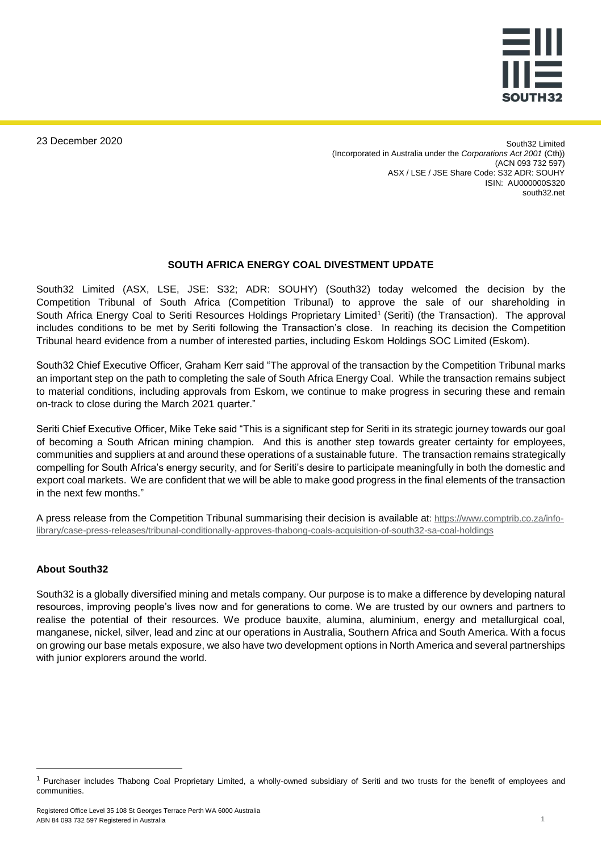

23 December 2020

South32 Limited (Incorporated in Australia under the *Corporations Act 2001* (Cth)) (ACN 093 732 597) ASX / LSE / JSE Share Code: S32 ADR: SOUHY ISIN: AU000000S320 south32.net

## **SOUTH AFRICA ENERGY COAL DIVESTMENT UPDATE**

South32 Limited (ASX, LSE, JSE: S32; ADR: SOUHY) (South32) today welcomed the decision by the Competition Tribunal of South Africa (Competition Tribunal) to approve the sale of our shareholding in South Africa Energy Coal to Seriti Resources Holdings Proprietary Limited<sup>1</sup> (Seriti) (the Transaction). The approval includes conditions to be met by Seriti following the Transaction's close. In reaching its decision the Competition Tribunal heard evidence from a number of interested parties, including Eskom Holdings SOC Limited (Eskom).

South32 Chief Executive Officer, Graham Kerr said "The approval of the transaction by the Competition Tribunal marks an important step on the path to completing the sale of South Africa Energy Coal. While the transaction remains subject to material conditions, including approvals from Eskom, we continue to make progress in securing these and remain on-track to close during the March 2021 quarter."

Seriti Chief Executive Officer, Mike Teke said "This is a significant step for Seriti in its strategic journey towards our goal of becoming a South African mining champion. And this is another step towards greater certainty for employees, communities and suppliers at and around these operations of a sustainable future. The transaction remains strategically compelling for South Africa's energy security, and for Seriti's desire to participate meaningfully in both the domestic and export coal markets. We are confident that we will be able to make good progress in the final elements of the transaction in the next few months."

A press release from the Competition Tribunal summarising their decision is available at: [https://www.comptrib.co.za/info](https://www.comptrib.co.za/info-library/case-press-releases/tribunal-conditionally-approves-thabong-coals-acquisition-of-south32-sa-coal-holdings)[library/case-press-releases/tribunal-conditionally-approves-thabong-coals-acquisition-of-south32-sa-coal-holdings](https://www.comptrib.co.za/info-library/case-press-releases/tribunal-conditionally-approves-thabong-coals-acquisition-of-south32-sa-coal-holdings)

#### **About South32**

 $\overline{a}$ 

South32 is a globally diversified mining and metals company. Our purpose is to make a difference by developing natural resources, improving people's lives now and for generations to come. We are trusted by our owners and partners to realise the potential of their resources. We produce bauxite, alumina, aluminium, energy and metallurgical coal, manganese, nickel, silver, lead and zinc at our operations in Australia, Southern Africa and South America. With a focus on growing our base metals exposure, we also have two development options in North America and several partnerships with junior explorers around the world.

<sup>&</sup>lt;sup>1</sup> Purchaser includes Thabong Coal Proprietary Limited, a wholly-owned subsidiary of Seriti and two trusts for the benefit of employees and communities.